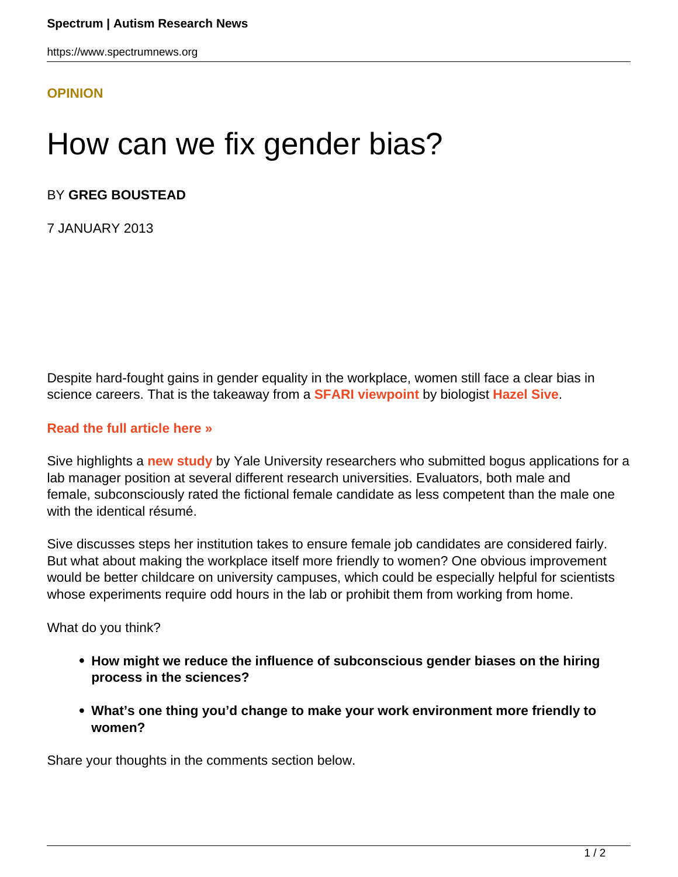https://www.spectrumnews.org

## **[OPINION](HTTPS://WWW.SPECTRUMNEWS.ORG/OPINION/)**

## How can we fix gender bias?

## BY **GREG BOUSTEAD**

7 JANUARY 2013

Despite hard-fought gains in gender equality in the workplace, women still face a clear bias in science careers. That is the takeaway from a **[SFARI viewpoint](../../../news-and-opinion/viewpoint/2012/how-to-undo-stereotypes-that-hinder-women-in-science)** by biologist **[Hazel Sive](/author/?author=https%3A%2Fid.sfari.org%2Fhazelsive)**.

## **[Read the full article here »](../../../news-and-opinion/viewpoint/2012/how-to-undo-stereotypes-that-hinder-women-in-science)**

Sive highlights a **[new study](http://www.pnas.org/content/109/41/16474.long)** by Yale University researchers who submitted bogus applications for a lab manager position at several different research universities. Evaluators, both male and female, subconsciously rated the fictional female candidate as less competent than the male one with the identical résumé.

Sive discusses steps her institution takes to ensure female job candidates are considered fairly. But what about making the workplace itself more friendly to women? One obvious improvement would be better childcare on university campuses, which could be especially helpful for scientists whose experiments require odd hours in the lab or prohibit them from working from home.

What do you think?

- **How might we reduce the influence of subconscious gender biases on the hiring process in the sciences?**
- **What's one thing you'd change to make your work environment more friendly to women?**

Share your thoughts in the comments section below.